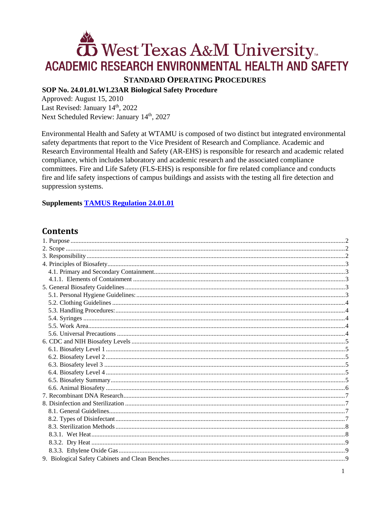# West Texas A&M University ACADEMIC RESEARCH ENVIRONMENTAL HEALTH AND SAFETY

# **STANDARD OPERATING PROCEDURES**

## SOP No. 24.01.01.W1.23AR Biological Safety Procedure

Approved: August 15, 2010 Last Revised: January 14th, 2022 Next Scheduled Review: January 14th, 2027

Environmental Health and Safety at WTAMU is composed of two distinct but integrated environmental safety departments that report to the Vice President of Research and Compliance. Academic and Research Environmental Health and Safety (AR-EHS) is responsible for research and academic related compliance, which includes laboratory and academic research and the associated compliance committees. Fire and Life Safety (FLS-EHS) is responsible for fire related compliance and conducts fire and life safety inspections of campus buildings and assists with the testing all fire detection and suppression systems.

## **Supplements TAMUS Regulation 24.01.01**

# **Contents**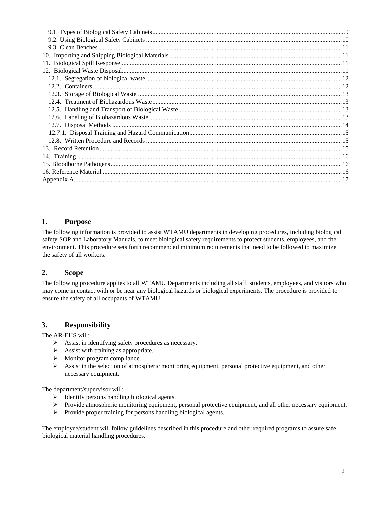## <span id="page-1-0"></span>**1. Purpose**

The following information is provided to assist WTAMU departments in developing procedures, including biological safety SOP and Laboratory Manuals, to meet biological safety requirements to protect students, employees, and the environment. This procedure sets forth recommended minimum requirements that need to be followed to maximize the safety of all workers.

## <span id="page-1-1"></span>**2. Scope**

The following procedure applies to all WTAMU Departments including all staff, students, employees, and visitors who may come in contact with or be near any biological hazards or biological experiments. The procedure is provided to ensure the safety of all occupants of WTAMU.

# <span id="page-1-2"></span>**3. Responsibility**

The AR-EHS will:

- Assist in identifying safety procedures as necessary.
- $\triangleright$  Assist with training as appropriate.
- $\triangleright$  Monitor program compliance.
- $\triangleright$  Assist in the selection of atmospheric monitoring equipment, personal protective equipment, and other necessary equipment.

The department/supervisor will:

- $\triangleright$  Identify persons handling biological agents.
- Provide atmospheric monitoring equipment, personal protective equipment, and all other necessary equipment.
- $\triangleright$  Provide proper training for persons handling biological agents.

The employee/student will follow guidelines described in this procedure and other required programs to assure safe biological material handling procedures.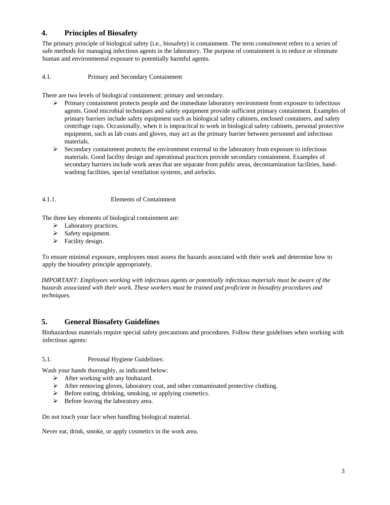## <span id="page-2-0"></span>**4. Principles of Biosafety**

The primary principle of biological safety (i.e., biosafety) is containment. The term *containment* refers to a series of safe methods for managing infectious agents in the laboratory. The purpose of containment is to reduce or eliminate human and environmental exposure to potentially harmful agents.

<span id="page-2-1"></span>4.1. Primary and Secondary Containment

There are two levels of biological containment: primary and secondary.

- $\triangleright$  Primary containment protects people and the immediate laboratory environment from exposure to infectious agents. Good microbial techniques and safety equipment provide sufficient primary containment. Examples of primary barriers include safety equipment such as biological safety cabinets, enclosed containers, and safety centrifuge cups. Occasionally, when it is impractical to work in biological safety cabinets, personal protective equipment, such as lab coats and gloves, may act as the primary barrier between personnel and infectious materials.
- $\triangleright$  Secondary containment protects the environment external to the laboratory from exposure to infectious materials. Good facility design and operational practices provide secondary containment. Examples of secondary barriers include work areas that are separate from public areas, decontamination facilities, handwashing facilities, special ventilation systems, and airlocks.

## <span id="page-2-2"></span>4.1.1. Elements of Containment

The three key elements of biological containment are:

- $\blacktriangleright$  Laboratory practices.
- $\triangleright$  Safety equipment.
- $\triangleright$  Facility design.

To ensure minimal exposure, employees must assess the hazards associated with their work and determine how to apply the biosafety principle appropriately.

*IMPORTANT: Employees working with infectious agents or potentially infectious materials must be aware of the hazards associated with their work. These workers must be trained and proficient in biosafety procedures and techniques.* 

# <span id="page-2-3"></span>**5. General Biosafety Guidelines**

Biohazardous materials require special safety precautions and procedures. Follow these guidelines when working with infectious agents:

## <span id="page-2-4"></span>5.1. Personal Hygiene Guidelines:

Wash your hands thoroughly, as indicated below:

- $\triangleright$  After working with any biohazard.
- $\triangleright$  After removing gloves, laboratory coat, and other contaminated protective clothing.
- $\triangleright$  Before eating, drinking, smoking, or applying cosmetics.
- $\triangleright$  Before leaving the laboratory area.

Do not touch your face when handling biological material.

Never eat, drink, smoke, or apply cosmetics in the work area.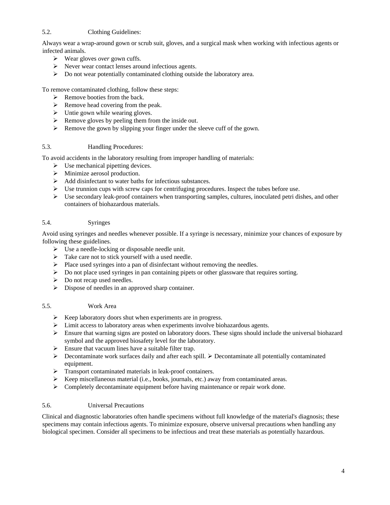## <span id="page-3-0"></span>5.2. Clothing Guidelines:

Always wear a wrap-around gown or scrub suit, gloves, and a surgical mask when working with infectious agents or infected animals.

- Wear gloves *over* gown cuffs.
- Never wear contact lenses around infectious agents.
- $\triangleright$  Do not wear potentially contaminated clothing outside the laboratory area.

To remove contaminated clothing, follow these steps:

- $\triangleright$  Remove booties from the back.
- $\triangleright$  Remove head covering from the peak.
- $\triangleright$  Untie gown while wearing gloves.
- $\triangleright$  Remove gloves by peeling them from the inside out.
- $\triangleright$  Remove the gown by slipping your finger under the sleeve cuff of the gown.

## <span id="page-3-1"></span>5.3. Handling Procedures:

To avoid accidents in the laboratory resulting from improper handling of materials:

- $\triangleright$  Use mechanical pipetting devices.
- $\triangleright$  Minimize aerosol production.
- $\triangleright$  Add disinfectant to water baths for infectious substances.
- $\triangleright$  Use trunnion cups with screw caps for centrifuging procedures. Inspect the tubes before use.
- $\triangleright$  Use secondary leak-proof containers when transporting samples, cultures, inoculated petri dishes, and other containers of biohazardous materials.

## <span id="page-3-2"></span>5.4. Syringes

Avoid using syringes and needles whenever possible. If a syringe is necessary, minimize your chances of exposure by following these guidelines.

- $\triangleright$  Use a needle-locking or disposable needle unit.
- $\triangleright$  Take care not to stick yourself with a used needle.
- $\triangleright$  Place used syringes into a pan of disinfectant without removing the needles.
- $\triangleright$  Do not place used syringes in pan containing pipets or other glassware that requires sorting.
- $\triangleright$  Do not recap used needles.
- Dispose of needles in an approved sharp container.

## <span id="page-3-3"></span>5.5. Work Area

- $\triangleright$  Keep laboratory doors shut when experiments are in progress.
- Limit access to laboratory areas when experiments involve biohazardous agents.
- $\triangleright$  Ensure that warning signs are posted on laboratory doors. These signs should include the universal biohazard symbol and the approved biosafety level for the laboratory.
- $\triangleright$  Ensure that vacuum lines have a suitable filter trap.
- $\triangleright$  Decontaminate work surfaces daily and after each spill.  $\triangleright$  Decontaminate all potentially contaminated equipment.
- > Transport contaminated materials in leak-proof containers.
- $\triangleright$  Keep miscellaneous material (i.e., books, journals, etc.) away from contaminated areas.
- $\triangleright$  Completely decontaminate equipment before having maintenance or repair work done.

## <span id="page-3-4"></span>5.6. Universal Precautions

Clinical and diagnostic laboratories often handle specimens without full knowledge of the material's diagnosis; these specimens may contain infectious agents. To minimize exposure, observe universal precautions when handling any biological specimen. Consider all specimens to be infectious and treat these materials as potentially hazardous.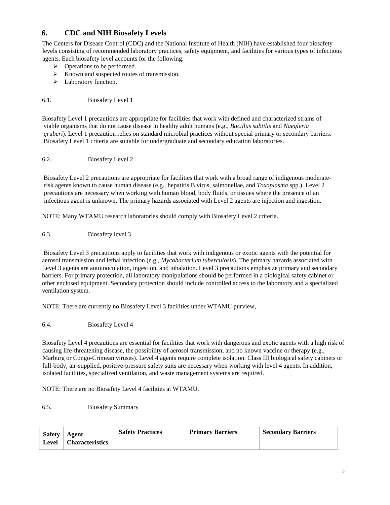# <span id="page-4-0"></span>**6. CDC and NIH Biosafety Levels**

The Centers for Disease Control (CDC) and the National Institute of Health (NIH) have established four biosafety levels consisting of recommended laboratory practices, safety equipment, and facilities for various types of infectious agents. Each biosafety level accounts for the following.

- $\triangleright$  Operations to be performed.
- $\triangleright$  Known and suspected routes of transmission.
- > Laboratory function.

## <span id="page-4-1"></span>6.1. Biosafety Level 1

Biosafety Level 1 precautions are appropriate for facilities that work with defined and characterized strains of viable organisms that do not cause disease in healthy adult humans (e.g., *Bacillus subtilis* and *Naegleria gruberi*). Level 1 precaution relies on standard microbial practices without special primary or secondary barriers. Biosafety Level 1 criteria are suitable for undergraduate and secondary education laboratories.

## <span id="page-4-2"></span>6.2. Biosafety Level 2

Biosafety Level 2 precautions are appropriate for facilities that work with a broad range of indigenous moderaterisk agents known to cause human disease (e.g., hepatitis B virus, salmonellae, and *Toxoplasma* spp.). Level 2 precautions are necessary when working with human blood, body fluids, or tissues where the presence of an infectious agent is unknown. The primary hazards associated with Level 2 agents are injection and ingestion.

NOTE: Many WTAMU research laboratories should comply with Biosafety Level 2 criteria.

<span id="page-4-3"></span>6.3. Biosafety level 3

Biosafety Level 3 precautions apply to facilities that work with indigenous or exotic agents with the potential for aerosol transmission and lethal infection (e.g., *Mycobacterium tuberculosis*). The primary hazards associated with Level 3 agents are autoinoculation, ingestion, and inhalation. Level 3 precautions emphasize primary and secondary barriers. For primary protection, all laboratory manipulations should be performed in a biological safety cabinet or other enclosed equipment. Secondary protection should include controlled access to the laboratory and a specialized ventilation system.

NOTE: There are currently no Biosafety Level 3 facilities under WTAMU purview,

<span id="page-4-4"></span>6.4. Biosafety Level 4

Biosafety Level 4 precautions are essential for facilities that work with dangerous and exotic agents with a high risk of causing life-threatening disease, the possibility of aerosol transmission, and no known vaccine or therapy (e.g., Marburg or Congo-Crimean viruses). Level 4 agents require complete isolation. Class III biological safety cabinets or full-body, air-supplied, positive-pressure safety suits are necessary when working with level 4 agents. In addition, isolated facilities, specialized ventilation, and waste management systems are required.

NOTE: There are no Biosafety Level 4 facilities at WTAMU.

<span id="page-4-5"></span>6.5. Biosafety Summary

| <b>Safety</b> | <b>Agent</b>    | <b>Safety Practices</b> | <b>Primary Barriers</b> | <b>Secondary Barriers</b> |
|---------------|-----------------|-------------------------|-------------------------|---------------------------|
| Level         | Characteristics |                         |                         |                           |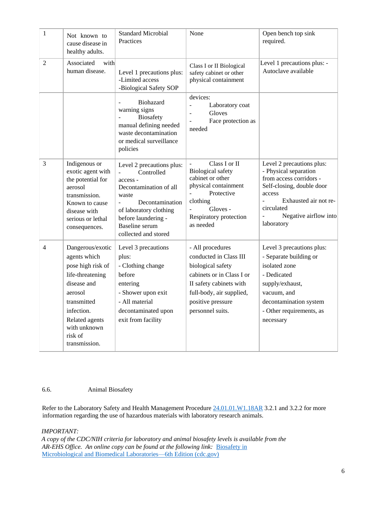| $\mathbf{1}$   | Not known to<br>cause disease in<br>healthy adults.                                                                                                                                            | <b>Standard Microbial</b><br>Practices                                                                                                                                                                                       | None                                                                                                                                                                                         | Open bench top sink<br>required.                                                                                                                                                                                          |
|----------------|------------------------------------------------------------------------------------------------------------------------------------------------------------------------------------------------|------------------------------------------------------------------------------------------------------------------------------------------------------------------------------------------------------------------------------|----------------------------------------------------------------------------------------------------------------------------------------------------------------------------------------------|---------------------------------------------------------------------------------------------------------------------------------------------------------------------------------------------------------------------------|
| $\overline{2}$ | Associated<br>with<br>human disease.                                                                                                                                                           | Level 1 precautions plus:<br>-Limited access<br>-Biological Safety SOP                                                                                                                                                       | Class I or II Biological<br>safety cabinet or other<br>physical containment                                                                                                                  | Level 1 precautions plus: -<br>Autoclave available                                                                                                                                                                        |
|                |                                                                                                                                                                                                | Biohazard<br>warning signs<br><b>Biosafety</b><br>manual defining needed<br>waste decontamination<br>or medical surveillance<br>policies                                                                                     | devices:<br>Laboratory coat<br>÷,<br>Gloves<br>Face protection as<br>$\overline{\phantom{a}}$<br>needed                                                                                      |                                                                                                                                                                                                                           |
| 3              | Indigenous or<br>exotic agent with<br>the potential for<br>aerosol<br>transmission.<br>Known to cause<br>disease with<br>serious or lethal<br>consequences.                                    | Level 2 precautions plus:<br>Controlled<br>$\frac{1}{2}$<br>access -<br>Decontamination of all<br>waste<br>Decontamination<br>of laboratory clothing<br>before laundering -<br><b>Baseline</b> serum<br>collected and stored | Class I or II<br><b>Biological safety</b><br>cabinet or other<br>physical containment<br>Protective<br>clothing<br>Gloves -<br>Respiratory protection<br>as needed                           | Level 2 precautions plus:<br>- Physical separation<br>from access corridors -<br>Self-closing, double door<br>access<br>Exhausted air not re-<br>circulated<br>Negative airflow into<br>$\bar{\phantom{a}}$<br>laboratory |
| 4              | Dangerous/exotic<br>agents which<br>pose high risk of<br>life-threatening<br>disease and<br>aerosol<br>transmitted<br>infection.<br>Related agents<br>with unknown<br>risk of<br>transmission. | Level 3 precautions<br>plus:<br>- Clothing change<br>before<br>entering<br>- Shower upon exit<br>- All material<br>decontaminated upon<br>exit from facility                                                                 | - All procedures<br>conducted in Class III<br>biological safety<br>cabinets or in Class I or<br>II safety cabinets with<br>full-body, air supplied,<br>positive pressure<br>personnel suits. | Level 3 precautions plus:<br>- Separate building or<br>isolated zone<br>- Dedicated<br>supply/exhaust,<br>vacuum, and<br>decontamination system<br>- Other requirements, as<br>necessary                                  |

## <span id="page-5-0"></span>6.6. Animal Biosafety

Refer to the Laboratory Safety and Health Management Procedure  $24.01.01$ .W1.18AR 3.2.1 and 3.2.2 for more information regarding the use of hazardous materials with laboratory research animals.

#### *IMPORTANT:*

*A copy of the CDC/NIH criteria for laboratory and animal biosafety levels is available from the*  AR-EHS Office. An online copy can be found at the following link: **Biosafety** in [Microbiological and Biomedical Laboratories—6th Edition \(cdc.gov\)](https://www.cdc.gov/labs/pdf/CDC-BiosafetyMicrobiologicalBiomedicalLaboratories-2020-P.pdf)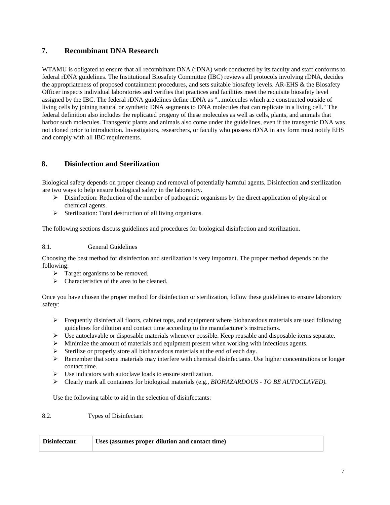## <span id="page-6-0"></span>**7. Recombinant DNA Research**

WTAMU is obligated to ensure that all recombinant DNA (rDNA) work conducted by its faculty and staff conforms to federal rDNA guidelines. The Institutional Biosafety Committee (IBC) reviews all protocols involving rDNA, decides the appropriateness of proposed containment procedures, and sets suitable biosafety levels. AR-EHS & the Biosafety Officer inspects individual laboratories and verifies that practices and facilities meet the requisite biosafety level assigned by the IBC. The federal rDNA guidelines define rDNA as "...molecules which are constructed outside of living cells by joining natural or synthetic DNA segments to DNA molecules that can replicate in a living cell." The federal definition also includes the replicated progeny of these molecules as well as cells, plants, and animals that harbor such molecules. Transgenic plants and animals also come under the guidelines, even if the transgenic DNA was not cloned prior to introduction. Investigators, researchers, or faculty who possess rDNA in any form must notify EHS and comply with all IBC requirements.

# <span id="page-6-1"></span>**8. Disinfection and Sterilization**

Biological safety depends on proper cleanup and removal of potentially harmful agents. Disinfection and sterilization are two ways to help ensure biological safety in the laboratory.

- $\triangleright$  Disinfection: Reduction of the number of pathogenic organisms by the direct application of physical or chemical agents.
- $\triangleright$  Sterilization: Total destruction of all living organisms.

The following sections discuss guidelines and procedures for biological disinfection and sterilization.

## <span id="page-6-2"></span>8.1. General Guidelines

Choosing the best method for disinfection and sterilization is very important. The proper method depends on the following:

- $\triangleright$  Target organisms to be removed.
- $\triangleright$  Characteristics of the area to be cleaned.

Once you have chosen the proper method for disinfection or sterilization, follow these guidelines to ensure laboratory safety:

- $\triangleright$  Frequently disinfect all floors, cabinet tops, and equipment where biohazardous materials are used following guidelines for dilution and contact time according to the manufacturer's instructions.
- $\triangleright$  Use autoclavable or disposable materials whenever possible. Keep reusable and disposable items separate.
- Minimize the amount of materials and equipment present when working with infectious agents.
- Sterilize or properly store all biohazardous materials at the end of each day.
- $\triangleright$  Remember that some materials may interfere with chemical disinfectants. Use higher concentrations or longer contact time.
- $\triangleright$  Use indicators with autoclave loads to ensure sterilization.
- Clearly mark all containers for biological materials (e.g.*, BIOHAZARDOUS - TO BE AUTOCLAVED).*

Use the following table to aid in the selection of disinfectants:

#### <span id="page-6-3"></span>8.2. Types of Disinfectant

| <b>Disinfectant</b> | <b>Uses (assumes proper dilution and contact time)</b> |
|---------------------|--------------------------------------------------------|
|                     |                                                        |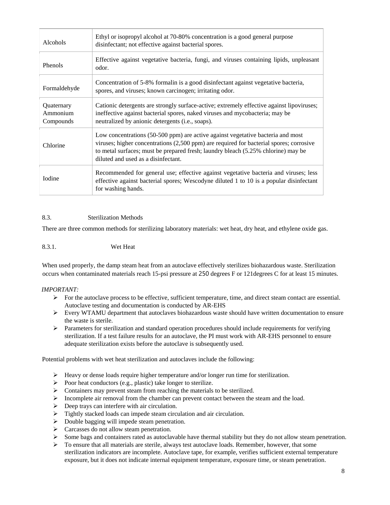| <b>Alcohols</b>                     | Ethyl or isopropyl alcohol at 70-80% concentration is a good general purpose<br>disinfectant; not effective against bacterial spores.                                                                                                                                                                  |
|-------------------------------------|--------------------------------------------------------------------------------------------------------------------------------------------------------------------------------------------------------------------------------------------------------------------------------------------------------|
| Phenols                             | Effective against vegetative bacteria, fungi, and viruses containing lipids, unpleasant<br>odor.                                                                                                                                                                                                       |
| Formaldehyde                        | Concentration of 5-8% formalin is a good disinfectant against vegetative bacteria,<br>spores, and viruses; known carcinogen; irritating odor.                                                                                                                                                          |
| Quaternary<br>Ammonium<br>Compounds | Cationic detergents are strongly surface-active; extremely effective against lipoviruses;<br>ineffective against bacterial spores, naked viruses and mycobacteria; may be<br>neutralized by anionic detergents (i.e., soaps).                                                                          |
| Chlorine                            | Low concentrations (50-500 ppm) are active against vegetative bacteria and most<br>viruses; higher concentrations (2,500 ppm) are required for bacterial spores; corrosive<br>to metal surfaces; must be prepared fresh; laundry bleach (5.25% chlorine) may be<br>diluted and used as a disinfectant. |
| Iodine                              | Recommended for general use; effective against vegetative bacteria and viruses; less<br>effective against bacterial spores; Wescodyne diluted 1 to 10 is a popular disinfectant<br>for washing hands.                                                                                                  |

## <span id="page-7-0"></span>8.3. Sterilization Methods

There are three common methods for sterilizing laboratory materials: wet heat, dry heat, and ethylene oxide gas.

## <span id="page-7-1"></span>8.3.1. Wet Heat

When used properly, the damp steam heat from an autoclave effectively sterilizes biohazardous waste. Sterilization occurs when contaminated materials reach 15-psi pressure at 250 degrees F or 121degrees C for at least 15 minutes.

#### *IMPORTANT:*

- $\triangleright$  For the autoclave process to be effective, sufficient temperature, time, and direct steam contact are essential. Autoclave testing and documentation is conducted by AR-EHS
- $\triangleright$  Every WTAMU department that autoclaves biohazardous waste should have written documentation to ensure the waste is sterile.
- $\triangleright$  Parameters for sterilization and standard operation procedures should include requirements for verifying sterilization. If a test failure results for an autoclave, the PI must work with AR-EHS personnel to ensure adequate sterilization exists before the autoclave is subsequently used.

Potential problems with wet heat sterilization and autoclaves include the following:

- Heavy or dense loads require higher temperature and/or longer run time for sterilization.
- $\triangleright$  Poor heat conductors (e.g., plastic) take longer to sterilize.
- Containers may prevent steam from reaching the materials to be sterilized.
- $\triangleright$  Incomplete air removal from the chamber can prevent contact between the steam and the load.
- $\triangleright$  Deep trays can interfere with air circulation.
- $\triangleright$  Tightly stacked loads can impede steam circulation and air circulation.
- $\triangleright$  Double bagging will impede steam penetration.
- $\triangleright$  Carcasses do not allow steam penetration.
- Some bags and containers rated as autoclavable have thermal stability but they do not allow steam penetration.
- $\triangleright$  To ensure that all materials are sterile, always test autoclave loads. Remember, however, that some sterilization indicators are incomplete. Autoclave tape, for example, verifies sufficient external temperature exposure, but it does not indicate internal equipment temperature, exposure time, or steam penetration.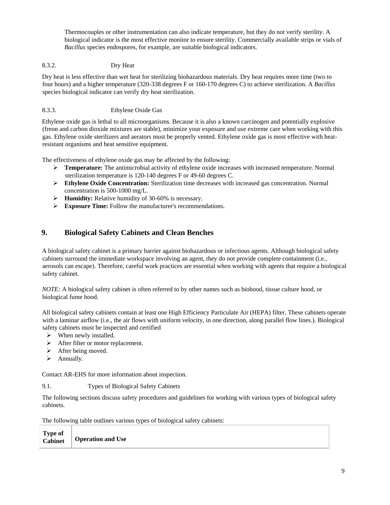Thermocouples or other instrumentation can also indicate temperature, but they do not verify sterility. A biological indicator is the most effective monitor to ensure sterility. Commercially available strips or vials of *Bacillus* species endospores, for example, are suitable biological indicators.

## <span id="page-8-0"></span>8.3.2. Dry Heat

Dry heat is less effective than wet heat for sterilizing biohazardous materials. Dry heat requires more time (two to four hours) and a higher temperature (320-338 degrees F or 160-170 degrees C) to achieve sterilization. A *Bacillus*  species biological indicator can verify dry heat sterilization.

## <span id="page-8-1"></span>8.3.3. Ethylene Oxide Gas

Ethylene oxide gas is lethal to all microorganisms. Because it is also a known carcinogen and potentially explosive (freon and carbon dioxide mixtures are stable), minimize your exposure and use extreme care when working with this gas. Ethylene oxide sterilizers and aerators must be properly vented. Ethylene oxide gas is most effective with heatresistant organisms and heat sensitive equipment.

The effectiveness of ethylene oxide gas may be affected by the following:

- **Temperature:** The antimicrobial activity of ethylene oxide increases with increased temperature. Normal sterilization temperature is 120-140 degrees F or 49-60 degrees C.
- **Ethylene Oxide Concentration:** Sterilization time decreases with increased gas concentration. Normal concentration is 500-1000 mg/L.
- **Humidity:** Relative humidity of 30-60% is necessary.
- **Exposure Time:** Follow the manufacturer's recommendations.

## <span id="page-8-2"></span>**9. Biological Safety Cabinets and Clean Benches**

A biological safety cabinet is a primary barrier against biohazardous or infectious agents. Although biological safety cabinets surround the immediate workspace involving an agent, they do not provide complete containment (i.e., aerosols can escape). Therefore, careful work practices are essential when working with agents that require a biological safety cabinet.

*NOTE:* A biological safety cabinet is often referred to by other names such as biohood, tissue culture hood, or biological fume hood.

All biological safety cabinets contain at least one High Efficiency Particulate Air (HEPA) filter. These cabinets operate with a laminar airflow (i.e., the air flows with uniform velocity, in one direction, along parallel flow lines.). Biological safety cabinets must be inspected and certified

- $\triangleright$  When newly installed.
- $\triangleright$  After filter or motor replacement.
- $\triangleright$  After being moved.
- $\triangleright$  Annually.

Contact AR-EHS for more information about inspection.

#### <span id="page-8-3"></span>9.1. Types of Biological Safety Cabinets

The following sections discuss safety procedures and guidelines for working with various types of biological safety cabinets.

The following table outlines various types of biological safety cabinets:

| <b>Type of</b> | $\overrightarrow{Cabinet}$ Operation and Use |
|----------------|----------------------------------------------|
|                |                                              |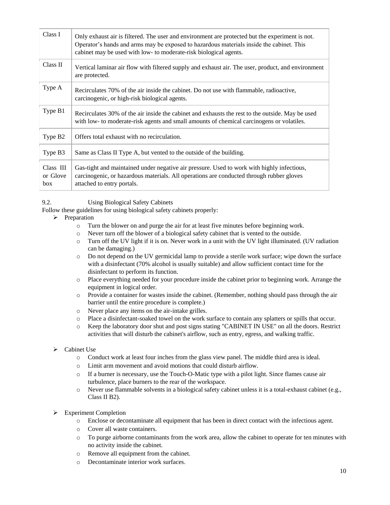| Class I                        | Only exhaust air is filtered. The user and environment are protected but the experiment is not.<br>Operator's hands and arms may be exposed to hazardous materials inside the cabinet. This<br>cabinet may be used with low- to moderate-risk biological agents. |
|--------------------------------|------------------------------------------------------------------------------------------------------------------------------------------------------------------------------------------------------------------------------------------------------------------|
| Class II                       | Vertical laminar air flow with filtered supply and exhaust air. The user, product, and environment<br>are protected.                                                                                                                                             |
| Type A                         | Recirculates 70% of the air inside the cabinet. Do not use with flammable, radioactive,<br>carcinogenic, or high-risk biological agents.                                                                                                                         |
| Type B1                        | Recirculates 30% of the air inside the cabinet and exhausts the rest to the outside. May be used<br>with low- to moderate-risk agents and small amounts of chemical carcinogens or volatiles.                                                                    |
| Type B <sub>2</sub>            | Offers total exhaust with no recirculation.                                                                                                                                                                                                                      |
| Type B3                        | Same as Class II Type A, but vented to the outside of the building.                                                                                                                                                                                              |
| $Class$ III<br>or Glove<br>box | Gas-tight and maintained under negative air pressure. Used to work with highly infectious,<br>carcinogenic, or hazardous materials. All operations are conducted through rubber gloves<br>attached to entry portals.                                             |

## <span id="page-9-0"></span>9.2. Using Biological Safety Cabinets

Follow these guidelines for using biological safety cabinets properly:

- $\triangleright$  Preparation
	- o Turn the blower on and purge the air for at least five minutes before beginning work.
	- o Never turn off the blower of a biological safety cabinet that is vented to the outside.
	- o Turn off the UV light if it is on. Never work in a unit with the UV light illuminated. (UV radiation can be damaging.)
	- o Do not depend on the UV germicidal lamp to provide a sterile work surface; wipe down the surface with a disinfectant (70% alcohol is usually suitable) and allow sufficient contact time for the disinfectant to perform its function.
	- o Place everything needed for your procedure inside the cabinet prior to beginning work. Arrange the equipment in logical order.
	- o Provide a container for wastes inside the cabinet. (Remember, nothing should pass through the air barrier until the entire procedure is complete.)
	- o Never place any items on the air-intake grilles.
	- o Place a disinfectant-soaked towel on the work surface to contain any splatters or spills that occur.
	- o Keep the laboratory door shut and post signs stating "CABINET IN USE" on all the doors. Restrict activities that will disturb the cabinet's airflow, such as entry, egress, and walking traffic.

#### Cabinet Use

- o Conduct work at least four inches from the glass view panel. The middle third area is ideal.
- o Limit arm movement and avoid motions that could disturb airflow.
- o If a burner is necessary, use the Touch-O-Matic type with a pilot light. Since flames cause air turbulence, place burners to the rear of the workspace.
- o Never use flammable solvents in a biological safety cabinet unless it is a total-exhaust cabinet (e.g., Class II B2).

#### Experiment Completion

- o Enclose or decontaminate all equipment that has been in direct contact with the infectious agent.
- o Cover all waste containers.
- o To purge airborne contaminants from the work area, allow the cabinet to operate for ten minutes with no activity inside the cabinet.
- o Remove all equipment from the cabinet.
- o Decontaminate interior work surfaces.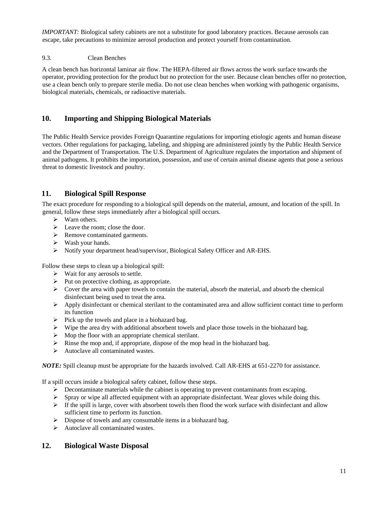*IMPORTANT:* Biological safety cabinets are not a substitute for good laboratory practices. Because aerosols can escape, take precautions to minimize aerosol production and protect yourself from contamination*.* 

## <span id="page-10-0"></span>9.3. Clean Benches

A clean bench has horizontal laminar air flow. The HEPA-filtered air flows across the work surface towards the operator, providing protection for the product but no protection for the user. Because clean benches offer no protection, use a clean bench only to prepare sterile media. Do not use clean benches when working with pathogenic organisms, biological materials, chemicals, or radioactive materials.

## <span id="page-10-1"></span>**10. Importing and Shipping Biological Materials**

The Public Health Service provides Foreign Quarantine regulations for importing etiologic agents and human disease vectors. Other regulations for packaging, labeling, and shipping are administered jointly by the Public Health Service and the Department of Transportation. The U.S. Department of Agriculture regulates the importation and shipment of animal pathogens. It prohibits the importation, possession, and use of certain animal disease agents that pose a serious threat to domestic livestock and poultry.

## <span id="page-10-2"></span>**11. Biological Spill Response**

The exact procedure for responding to a biological spill depends on the material, amount, and location of the spill. In general, follow these steps immediately after a biological spill occurs.

- $\triangleright$  Warn others.
- $\triangleright$  Leave the room; close the door.
- **►** Remove contaminated garments.
- Wash your hands.
- Notify your department head/supervisor, Biological Safety Officer and AR-EHS.

Follow these steps to clean up a biological spill:

- $\triangleright$  Wait for any aerosols to settle.
- $\triangleright$  Put on protective clothing, as appropriate.
- $\triangleright$  Cover the area with paper towels to contain the material, absorb the material, and absorb the chemical disinfectant being used to treat the area.
- $\triangleright$  Apply disinfectant or chemical sterilant to the contaminated area and allow sufficient contact time to perform its function
- $\triangleright$  Pick up the towels and place in a biohazard bag.
- $\triangleright$  Wipe the area dry with additional absorbent towels and place those towels in the biohazard bag.
- $\triangleright$  Mop the floor with an appropriate chemical sterilant.
- Rinse the mop and, if appropriate, dispose of the mop head in the biohazard bag.
- $\triangleright$  Autoclave all contaminated wastes.

*NOTE:* Spill cleanup must be appropriate for the hazards involved. Call AR-EHS at 651-2270 for assistance.

If a spill occurs inside a biological safety cabinet, follow these steps.

- $\triangleright$  Decontaminate materials while the cabinet is operating to prevent contaminants from escaping.
- Spray or wipe all affected equipment with an appropriate disinfectant. Wear gloves while doing this.
- $\triangleright$  If the spill is large, cover with absorbent towels then flood the work surface with disinfectant and allow sufficient time to perform its function.
- $\triangleright$  Dispose of towels and any consumable items in a biohazard bag.
- $\triangleright$  Autoclave all contaminated wastes.

## <span id="page-10-3"></span>**12. Biological Waste Disposal**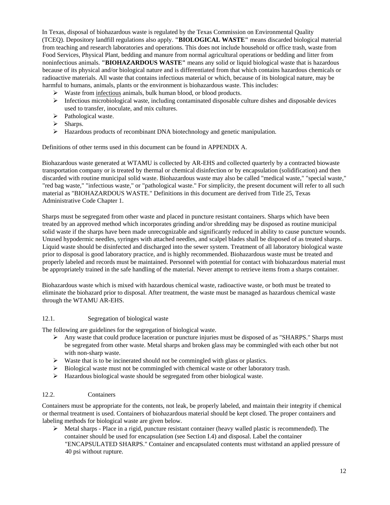In Texas, disposal of biohazardous waste is regulated by the Texas Commission on Environmental Quality (TCEQ). Depository landfill regulations also apply. **"BIOLOGICAL WASTE"** means discarded biological material from teaching and research laboratories and operations. This does not include household or office trash, waste from Food Services, Physical Plant, bedding and manure from normal agricultural operations or bedding and litter from noninfectious animals. **"BIOHAZARDOUS WASTE"** means any solid or liquid biological waste that is hazardous because of its physical and/or biological nature and is differentiated from that which contains hazardous chemicals or radioactive materials. All waste that contains infectious material or which, because of its biological nature, may be harmful to humans, animals, plants or the environment is biohazardous waste. This includes:

- $\triangleright$  Waste from infectious animals, bulk human blood, or blood products.
- $\triangleright$  Infectious microbiological waste, including contaminated disposable culture dishes and disposable devices used to transfer, inoculate, and mix cultures.
- $\triangleright$  Pathological waste.
- $\triangleright$  Sharps.
- $\triangleright$  Hazardous products of recombinant DNA biotechnology and genetic manipulation.

Definitions of other terms used in this document can be found in APPENDIX A.

Biohazardous waste generated at WTAMU is collected by AR-EHS and collected quarterly by a contracted biowaste transportation company or is treated by thermal or chemical disinfection or by encapsulation (solidification) and then discarded with routine municipal solid waste. Biohazardous waste may also be called "medical waste," "special waste," "red bag waste," "infectious waste," or "pathological waste." For simplicity, the present document will refer to all such material as "BIOHAZARDOUS WASTE." Definitions in this document are derived from Title 25, Texas Administrative Code Chapter 1.

Sharps must be segregated from other waste and placed in puncture resistant containers. Sharps which have been treated by an approved method which incorporates grinding and/or shredding may be disposed as routine municipal solid waste if the sharps have been made unrecognizable and significantly reduced in ability to cause puncture wounds. Unused hypodermic needles, syringes with attached needles, and scalpel blades shall be disposed of as treated sharps. Liquid waste should be disinfected and discharged into the sewer system. Treatment of all laboratory biological waste prior to disposal is good laboratory practice, and is highly recommended. Biohazardous waste must be treated and properly labeled and records must be maintained. Personnel with potential for contact with biohazardous material must be appropriately trained in the safe handling of the material. Never attempt to retrieve items from a sharps container.

Biohazardous waste which is mixed with hazardous chemical waste, radioactive waste, or both must be treated to eliminate the biohazard prior to disposal. After treatment, the waste must be managed as hazardous chemical waste through the WTAMU AR-EHS.

#### <span id="page-11-0"></span>12.1. Segregation of biological waste

The following are guidelines for the segregation of biological waste.

- $\triangleright$  Any waste that could produce laceration or puncture injuries must be disposed of as "SHARPS." Sharps must be segregated from other waste. Metal sharps and broken glass may be commingled with each other but not with non-sharp waste.
- $\triangleright$  Waste that is to be incinerated should not be commingled with glass or plastics.
- $\triangleright$  Biological waste must not be commingled with chemical waste or other laboratory trash.
- $\triangleright$  Hazardous biological waste should be segregated from other biological waste.

#### <span id="page-11-1"></span>12.2. Containers

Containers must be appropriate for the contents, not leak, be properly labeled, and maintain their integrity if chemical or thermal treatment is used. Containers of biohazardous material should be kept closed. The proper containers and labeling methods for biological waste are given below.

 $\triangleright$  Metal sharps - Place in a rigid, puncture resistant container (heavy walled plastic is recommended). The container should be used for encapsulation (see Section I.4) and disposal. Label the container "ENCAPSULATED SHARPS." Container and encapsulated contents must withstand an applied pressure of 40 psi without rupture.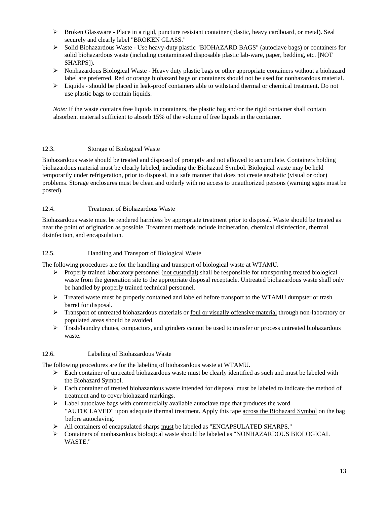- Broken Glassware Place in a rigid, puncture resistant container (plastic, heavy cardboard, or metal). Seal securely and clearly label "BROKEN GLASS."
- Solid Biohazardous Waste Use heavy-duty plastic "BIOHAZARD BAGS" (autoclave bags) or containers for solid biohazardous waste (including contaminated disposable plastic lab-ware, paper, bedding, etc. [NOT SHARPS]).
- $\triangleright$  Nonhazardous Biological Waste Heavy duty plastic bags or other appropriate containers without a biohazard label are preferred. Red or orange biohazard bags or containers should not be used for nonhazardous material.
- $\triangleright$  Liquids should be placed in leak-proof containers able to withstand thermal or chemical treatment. Do not use plastic bags to contain liquids.

*Note:* If the waste contains free liquids in containers, the plastic bag and/or the rigid container shall contain absorbent material sufficient to absorb 15% of the volume of free liquids in the container.

## <span id="page-12-0"></span>12.3. Storage of Biological Waste

Biohazardous waste should be treated and disposed of promptly and not allowed to accumulate. Containers holding biohazardous material must be clearly labeled, including the Biohazard Symbol. Biological waste may be held temporarily under refrigeration, prior to disposal, in a safe manner that does not create aesthetic (visual or odor) problems. Storage enclosures must be clean and orderly with no access to unauthorized persons (warning signs must be posted).

## <span id="page-12-1"></span>12.4. Treatment of Biohazardous Waste

Biohazardous waste must be rendered harmless by appropriate treatment prior to disposal. Waste should be treated as near the point of origination as possible. Treatment methods include incineration, chemical disinfection, thermal disinfection, and encapsulation.

#### <span id="page-12-2"></span>12.5. Handling and Transport of Biological Waste

The following procedures are for the handling and transport of biological waste at WTAMU.

- $\triangleright$  Properly trained laboratory personnel (not custodial) shall be responsible for transporting treated biological waste from the generation site to the appropriate disposal receptacle. Untreated biohazardous waste shall only be handled by properly trained technical personnel.
- $\triangleright$  Treated waste must be properly contained and labeled before transport to the WTAMU dumpster or trash barrel for disposal.
- $\triangleright$  Transport of untreated biohazardous materials or <u>foul or visually offensive material</u> through non-laboratory or populated areas should be avoided.
- $\triangleright$  Trash/laundry chutes, compactors, and grinders cannot be used to transfer or process untreated biohazardous waste.

#### <span id="page-12-3"></span>12.6. Labeling of Biohazardous Waste

The following procedures are for the labeling of biohazardous waste at WTAMU.

- $\triangleright$  Each container of untreated biohazardous waste must be clearly identified as such and must be labeled with the Biohazard Symbol.
- $\triangleright$  Each container of treated biohazardous waste intended for disposal must be labeled to indicate the method of treatment and to cover biohazard markings.
- Label autoclave bags with commercially available autoclave tape that produces the word "AUTOCLAVED" upon adequate thermal treatment. Apply this tape across the Biohazard Symbol on the bag before autoclaving.
- All containers of encapsulated sharps must be labeled as "ENCAPSULATED SHARPS."
- Containers of nonhazardous biological waste should be labeled as "NONHAZARDOUS BIOLOGICAL WASTE."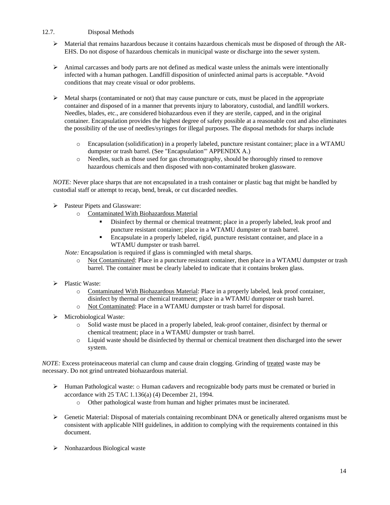## <span id="page-13-0"></span>12.7. Disposal Methods

- $\triangleright$  Material that remains hazardous because it contains hazardous chemicals must be disposed of through the AR-EHS. Do not dispose of hazardous chemicals in municipal waste or discharge into the sewer system.
- $\triangleright$  Animal carcasses and body parts are not defined as medical waste unless the animals were intentionally infected with a human pathogen. Landfill disposition of uninfected animal parts is acceptable. \*Avoid conditions that may create visual or odor problems.
- $\triangleright$  Metal sharps (contaminated or not) that may cause puncture or cuts, must be placed in the appropriate container and disposed of in a manner that prevents injury to laboratory, custodial, and landfill workers. Needles, blades, etc., are considered biohazardous even if they are sterile, capped, and in the original container. Encapsulation provides the highest degree of safety possible at a reasonable cost and also eliminates the possibility of the use of needles/syringes for illegal purposes. The disposal methods for sharps include
	- o Encapsulation (solidification) in a properly labeled, puncture resistant container; place in a WTAMU dumpster or trash barrel. (See "Encapsulation"' APPENDIX A.)
	- o Needles, such as those used for gas chromatography, should be thoroughly rinsed to remove hazardous chemicals and then disposed with non-contaminated broken glassware.

*NOTE:* Never place sharps that are not encapsulated in a trash container or plastic bag that might be handled by custodial staff or attempt to recap, bend, break, or cut discarded needles.

- Pasteur Pipets and Glassware:
	- o Contaminated With Biohazardous Material
		- Disinfect by thermal or chemical treatment; place in a properly labeled, leak proof and puncture resistant container; place in a WTAMU dumpster or trash barrel.
		- Encapsulate in a properly labeled, rigid, puncture resistant container, and place in a WTAMU dumpster or trash barrel.

*Note:* Encapsulation is required if glass is commingled with metal sharps.

- o Not Contaminated: Place in a puncture resistant container, then place in a WTAMU dumpster or trash barrel. The container must be clearly labeled to indicate that it contains broken glass.
- Plastic Waste:
	- o Contaminated With Biohazardous Material: Place in a properly labeled, leak proof container, disinfect by thermal or chemical treatment; place in a WTAMU dumpster or trash barrel.
	- o Not Contaminated: Place in a WTAMU dumpster or trash barrel for disposal.
- $\triangleright$  Microbiological Waste:
	- o Solid waste must be placed in a properly labeled, leak-proof container, disinfect by thermal or chemical treatment; place in a WTAMU dumpster or trash barrel.
	- o Liquid waste should be disinfected by thermal or chemical treatment then discharged into the sewer system.

*NOTE:* Excess proteinaceous material can clump and cause drain clogging. Grinding of treated waste may be necessary. Do not grind untreated biohazardous material.

- $\triangleright$  Human Pathological waste:  $\circ$  Human cadavers and recognizable body parts must be cremated or buried in accordance with 25 TAC 1.136(a) (4) December 21, 1994.
	- o Other pathological waste from human and higher primates must be incinerated.
- $\triangleright$  Genetic Material: Disposal of materials containing recombinant DNA or genetically altered organisms must be consistent with applicable NIH guidelines, in addition to complying with the requirements contained in this document.
- > Nonhazardous Biological waste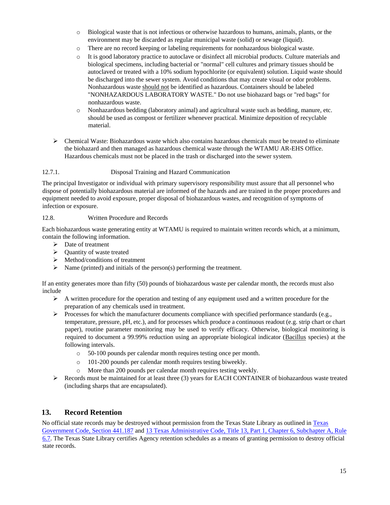- o Biological waste that is not infectious or otherwise hazardous to humans, animals, plants, or the environment may be discarded as regular municipal waste (solid) or sewage (liquid).
- o There are no record keeping or labeling requirements for nonhazardous biological waste.
- o It is good laboratory practice to autoclave or disinfect all microbial products. Culture materials and biological specimens, including bacterial or "normal" cell cultures and primary tissues should be autoclaved or treated with a 10% sodium hypochlorite (or equivalent) solution. Liquid waste should be discharged into the sewer system. Avoid conditions that may create visual or odor problems. Nonhazardous waste should not be identified as hazardous. Containers should be labeled "NONHAZARDOUS LABORATORY WASTE." Do not use biohazard bags or "red bags" for nonhazardous waste.
- o Nonhazardous bedding (laboratory animal) and agricultural waste such as bedding, manure, etc. should be used as compost or fertilizer whenever practical. Minimize deposition of recyclable material.
- $\triangleright$  Chemical Waste: Biohazardous waste which also contains hazardous chemicals must be treated to eliminate the biohazard and then managed as hazardous chemical waste through the WTAMU AR-EHS Office. Hazardous chemicals must not be placed in the trash or discharged into the sewer system.

## <span id="page-14-0"></span>12.7.1. Disposal Training and Hazard Communication

The principal Investigator or individual with primary supervisory responsibility must assure that all personnel who dispose of potentially biohazardous material are informed of the hazards and are trained in the proper procedures and equipment needed to avoid exposure, proper disposal of biohazardous wastes, and recognition of symptoms of infection or exposure.

#### <span id="page-14-1"></span>12.8. Written Procedure and Records

Each biohazardous waste generating entity at WTAMU is required to maintain written records which, at a minimum, contain the following information.

- $\triangleright$  Date of treatment
- $\triangleright$  Quantity of waste treated
- $\triangleright$  Method/conditions of treatment
- $\triangleright$  Name (printed) and initials of the person(s) performing the treatment.

If an entity generates more than fifty (50) pounds of biohazardous waste per calendar month, the records must also include

- $\triangleright$  A written procedure for the operation and testing of any equipment used and a written procedure for the preparation of any chemicals used in treatment.
- $\triangleright$  Processes for which the manufacturer documents compliance with specified performance standards (e.g., temperature, pressure, pH, etc.), and for processes which produce a continuous readout (e.g. strip chart or chart paper), routine parameter monitoring may be used to verify efficacy. Otherwise, biological monitoring is required to document a 99.99% reduction using an appropriate biological indicator (Bacillus species) at the following intervals.
	- o 50-100 pounds per calendar month requires testing once per month.
	- o 101-200 pounds per calendar month requires testing biweekly.
	- o More than 200 pounds per calendar month requires testing weekly.
- $\triangleright$  Records must be maintained for at least three (3) years for EACH CONTAINER of biohazardous waste treated (including sharps that are encapsulated).

## <span id="page-14-2"></span>**13. Record Retention**

No official state records may be destroyed without permission from the Texas State Library as outlined i[n Texas](http://www.statutes.legis.state.tx.us/?link=GV) [Government Code, Section 441.187](http://www.statutes.legis.state.tx.us/?link=GV) [an](http://www.statutes.legis.state.tx.us/?link=GV)d [13 Texas Administrative Code, Title 13, Part 1, Chapter 6, Subchapter A, Rule](https://texreg.sos.state.tx.us/public/readtac$ext.ViewTAC?tac_view=5&ti=13&pt=1&ch=6&sch=A&rl=Y) [6.7. Th](http://info.sos.state.tx.us/pls/pub/readtac%24ext.TacPage?sl=R&app=9&p_dir&p_rloc&p_tloc&p_ploc&pg=1&p_tac&ti=13&pt=1&ch=6&rl=7U)e Texas State Library certifies Agency retention schedules as a means of granting permission to destroy official state records.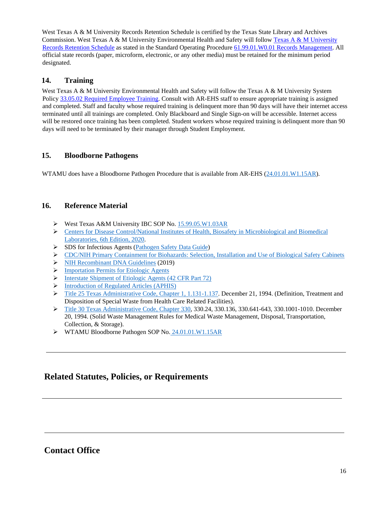West Texas A & M University Records Retention Schedule is certified by the Texas State Library and Archives Commission. West Texas A & M University Environmental Health and Safety will follow [Texas A & M University](https://policies.tamus.edu/61-99-01.pdf) [Records Retention Schedule](http://www.wtamu.edu/webres/File/Risk%20Management/System-Records-Retention-Schedule-Dec2012.pdf) [as](http://www.wtamu.edu/webres/File/Risk%20Management/System-Records-Retention-Schedule-Dec2012.pdf) stated in the Standard Operating Procedur[e 61.99.01.W0.01 Records Management.](https://policies.tamus.edu/61-99-01.pdf) All official state records (paper, microform, electronic, or any other media) must be retained for the minimum period designated.

## <span id="page-15-0"></span>**14. Training**

West Texas A & M University Environmental Health and Safety will follow the Texas A  $\&$  M University System Polic[y 33.05.02 Required Employee Training.](http://policies.tamus.edu/33-05-02.pdf) Consult with AR-EHS staff to ensure appropriate training is assigned and completed. Staff and faculty whose required training is delinquent more than 90 days will have their internet access terminated until all trainings are completed. Only Blackboard and Single Sign-on will be accessible. Internet access will be restored once training has been completed. Student workers whose required training is delinquent more than 90 days will need to be terminated by their manager through Student Employment.

## <span id="page-15-1"></span>**15. Bloodborne Pathogens**

WTAMU does have a Bloodborne Pathogen Procedure that is available from AR-EHS [\(24.01.01.W1.15AR\)](https://www.wtamu.edu/_files/docs/research/SOPs/24_01_01_W1_15AR%20Bloodborne%20Pathogens%20Exposure%20Control%20Plan.pdf).

## <span id="page-15-2"></span>**16. Reference Material**

- West Texas A&M University IBC SOP No. [15.99.05.W1.03AR](https://www.wtamu.edu/_files/docs/research/SOPs/15_99_05_W1_03AR%20Institutional%20Biosafety.pdf)
- [Centers for Disease Control/National Institutes of Health, Biosafety in Microbiological and Biomedical](https://www.cdc.gov/labs/pdf/CDC-BiosafetyMicrobiologicalBiomedicalLaboratories-2020-P.pdf)  [Laboratories, 6th Edition, 2020.](https://www.cdc.gov/labs/pdf/CDC-BiosafetyMicrobiologicalBiomedicalLaboratories-2020-P.pdf)
- SDS for Infectious Agents [\(Pathogen Safety Data Guide\)](https://tools.niehs.nih.gov/wetp/public/hasl_get_blob.cfm?ID=10823)
- [CDC/NIH Primary Containment for Biohazards: Selection, Installation and Use of Biological Safety Cabinets](https://www.safety.duke.edu/sites/default/files/Primary_containment_for_biohazards.pdf)
- [NIH Recombinant DNA Guidelines](https://ehs.uccs.edu/sites/g/files/kjihxj1296/files/inline-files/NIH_Guidelines%20revised%20april%202019.pdf) (2019)
- **[Importation Permits for Etiologic Agents](https://brucewatsonsafaris.com/wp-content/uploads/2017/11/permit_to_import_or_transport_etiologic_agents_hosts_or_vectors_of_human_disease1-17.pdf#:~:text=Importation%20permits%20are%20issued%20by%20the%20Etiologic%20Agent,Clifton%20Road%2C%20N.E.%2C%20Mailstop%20A-46%2C%20Atlanta%2C%20GA%2030333)**
- [Interstate Shipment of Etiologic Agents \(42 CFR Part 72\)](https://www.federalregister.gov/documents/2008/01/23/E8-1050/interstate-shipment-of-etiologic-agents)
- [Introduction of Regulated Articles \(APHIS\)](https://specialtycropassistance.org/wp-content/uploads/2018/07/SCRA2011-APHIS-Turner.pdf)
- ▶ [Title 25 Texas Administrative Code, Chapter 1, 1.131-1.137.](https://texreg.sos.state.tx.us/public/readtac$ext.ViewTAC?tac_view=5&ti=25&pt=1&ch=1&sch=K&rl=Y) December 21, 1994. (Definition, Treatment and Disposition of Special Waste from Health Care Related Facilities).
- [Title 30 Texas Administrative Code, Chapter 330,](https://texreg.sos.state.tx.us/public/readtac$ext.ViewTAC?tac_view=4&ti=30&pt=1&ch=330) 330.24, 330.136, 330.641-643, 330.1001-1010. December 20, 1994. (Solid Waste Management Rules for Medical Waste Management, Disposal, Transportation, Collection, & Storage).
- WTAMU Bloodborne Pathogen SOP No. [24.01.01.W1.15AR](https://www.wtamu.edu/_files/docs/research/SOPs/24_01_01_W1_15AR%20Bloodborne%20Pathogens%20Exposure%20Control%20Plan.pdf)

# **Related Statutes, Policies, or Requirements**

# **Contact Office**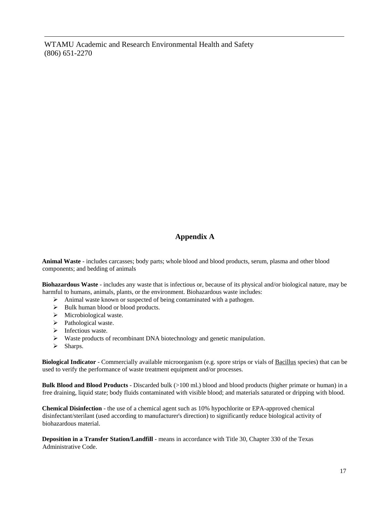WTAMU Academic and Research Environmental Health and Safety (806) 651-2270

# **Appendix A**

<span id="page-16-0"></span>**Animal Waste** - includes carcasses; body parts; whole blood and blood products, serum, plasma and other blood components; and bedding of animals

**Biohazardous Waste** - includes any waste that is infectious or, because of its physical and/or biological nature, may be harmful to humans, animals, plants, or the environment. Biohazardous waste includes:

- $\triangleright$  Animal waste known or suspected of being contaminated with a pathogen.
- $\triangleright$  Bulk human blood or blood products.
- > Microbiological waste.
- $\triangleright$  Pathological waste.
- $\triangleright$  Infectious waste.
- $\triangleright$  Waste products of recombinant DNA biotechnology and genetic manipulation.
- $\triangleright$  Sharps.

**Biological Indicator** - Commercially available microorganism (e.g. spore strips or vials of Bacillus species) that can be used to verify the performance of waste treatment equipment and/or processes.

**Bulk Blood and Blood Products** - Discarded bulk (>100 ml.) blood and blood products (higher primate or human) in a free draining, liquid state; body fluids contaminated with visible blood; and materials saturated or dripping with blood.

**Chemical Disinfection** - the use of a chemical agent such as 10% hypochlorite or EPA-approved chemical disinfectant/sterilant (used according to manufacturer's direction) to significantly reduce biological activity of biohazardous material.

**Deposition in a Transfer Station/Landfill** - means in accordance with Title 30, Chapter 330 of the Texas Administrative Code.